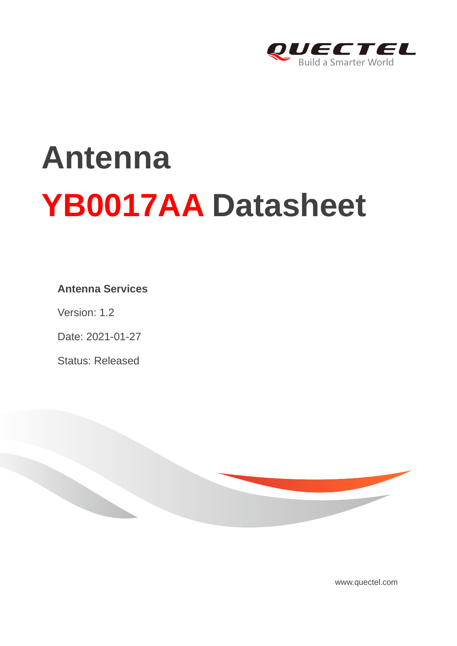

# **Antenna YB0017AA Datasheet**

#### **Antenna Services**

Version: 1.2

Date: 2021-01-27

Status: Released



[www.quectel.com](http://www.quectel.com/)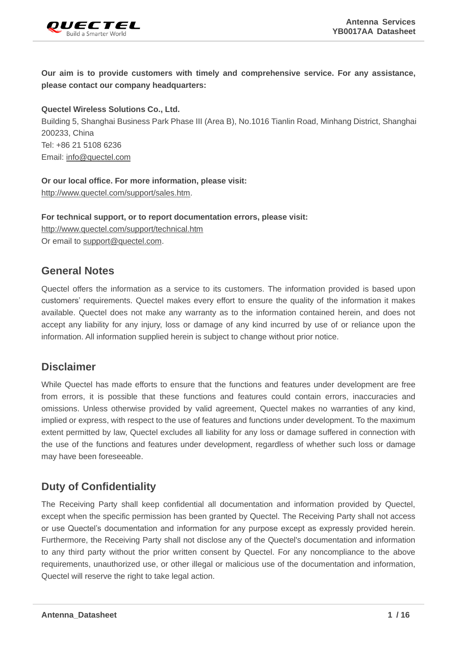

**Our aim is to provide customers with timely and comprehensive service. For any assistance, please contact our company headquarters:**

**Quectel Wireless Solutions Co., Ltd.** 

Building 5, Shanghai Business Park Phase III (Area B), No.1016 Tianlin Road, Minhang District, Shanghai 200233, China Tel: +86 21 5108 6236 Email: [info@quectel.com](mailto:info@quectel.com)

**Or our local office. For more information, please visit:** [http://www.quectel.com/support/sales.htm.](http://www.quectel.com/support/sales.htm)

**For technical support, or to report documentation errors, please visit:**  <http://www.quectel.com/support/technical.htm> Or email to [support@quectel.com.](mailto:support@quectel.com)

#### **General Notes**

Quectel offers the information as a service to its customers. The information provided is based upon customers' requirements. Quectel makes every effort to ensure the quality of the information it makes available. Quectel does not make any warranty as to the information contained herein, and does not accept any liability for any injury, loss or damage of any kind incurred by use of or reliance upon the information. All information supplied herein is subject to change without prior notice.

#### **Disclaimer**

While Quectel has made efforts to ensure that the functions and features under development are free from errors, it is possible that these functions and features could contain errors, inaccuracies and omissions. Unless otherwise provided by valid agreement, Quectel makes no warranties of any kind, implied or express, with respect to the use of features and functions under development. To the maximum extent permitted by law, Quectel excludes all liability for any loss or damage suffered in connection with the use of the functions and features under development, regardless of whether such loss or damage may have been foreseeable.

#### **Duty of Confidentiality**

The Receiving Party shall keep confidential all documentation and information provided by Quectel, except when the specific permission has been granted by Quectel. The Receiving Party shall not access or use Quectel's documentation and information for any purpose except as expressly provided herein. Furthermore, the Receiving Party shall not disclose any of the Quectel's documentation and information to any third party without the prior written consent by Quectel. For any noncompliance to the above requirements, unauthorized use, or other illegal or malicious use of the documentation and information, Quectel will reserve the right to take legal action.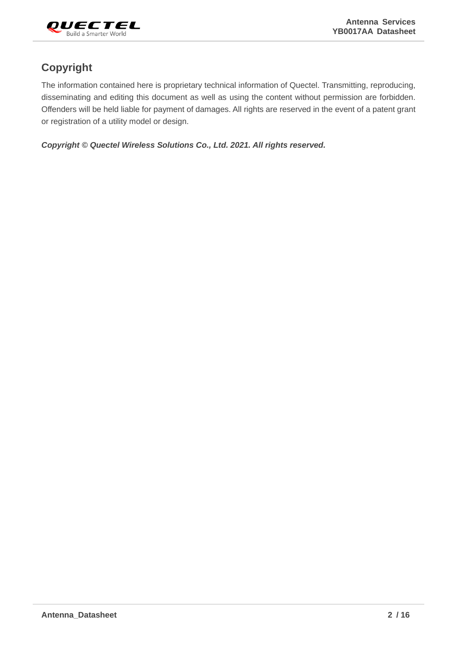

#### **Copyright**

The information contained here is proprietary technical information of Quectel. Transmitting, reproducing, disseminating and editing this document as well as using the content without permission are forbidden. Offenders will be held liable for payment of damages. All rights are reserved in the event of a patent grant or registration of a utility model or design.

*Copyright © Quectel Wireless Solutions Co., Ltd. 2021. All rights reserved.*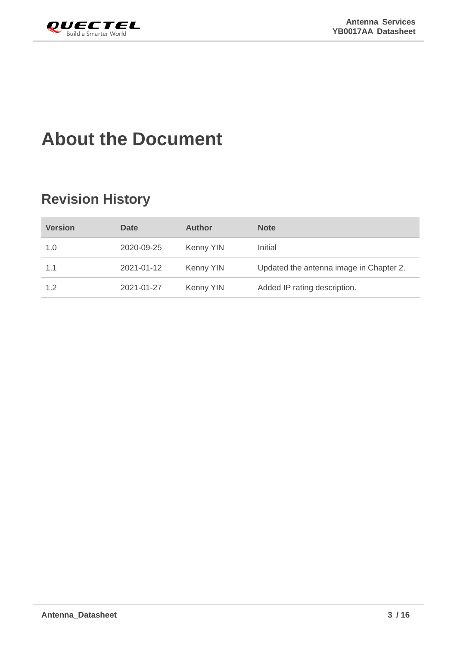<span id="page-3-0"></span>

## **About the Document**

### **Revision History**

| <b>Version</b> | <b>Date</b> | <b>Author</b> | <b>Note</b>                             |
|----------------|-------------|---------------|-----------------------------------------|
| 1.0            | 2020-09-25  | Kenny YIN     | Initial                                 |
| 1.1            | 2021-01-12  | Kenny YIN     | Updated the antenna image in Chapter 2. |
| 1.2            | 2021-01-27  | Kenny YIN     | Added IP rating description.            |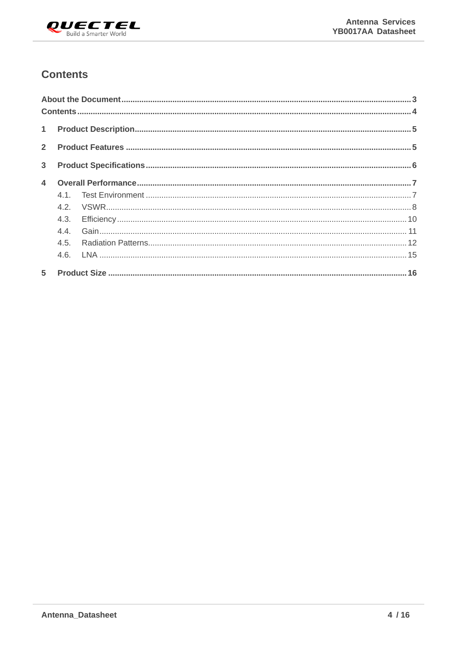

#### <span id="page-4-0"></span>**Contents**

| 3 <sup>1</sup> |     |  |
|----------------|-----|--|
|                |     |  |
|                |     |  |
|                |     |  |
|                |     |  |
|                |     |  |
|                | 4.5 |  |
|                |     |  |
|                |     |  |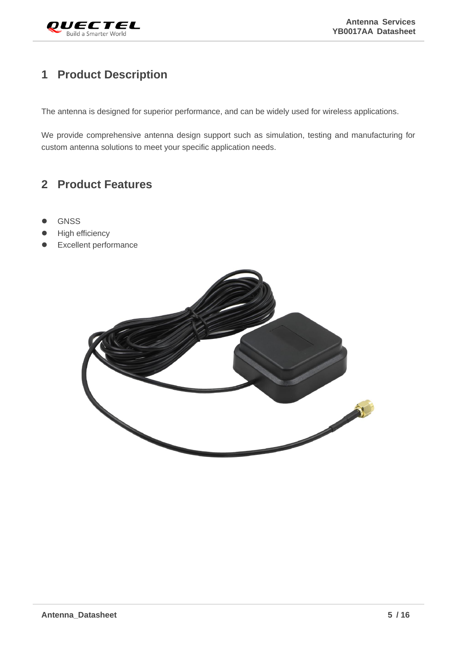

#### <span id="page-5-0"></span>**1 Product Description**

The antenna is designed for superior performance, and can be widely used for wireless applications.

We provide comprehensive antenna design support such as simulation, testing and manufacturing for custom antenna solutions to meet your specific application needs.

#### <span id="page-5-1"></span>**2 Product Features**

- ⚫ GNSS
- High efficiency
- ⚫ Excellent performance

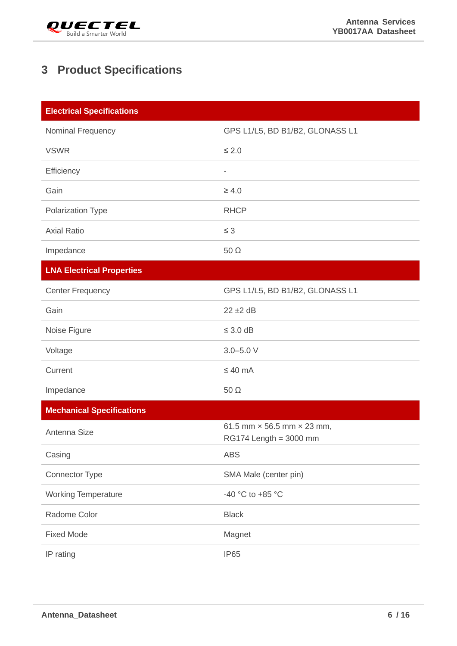

#### <span id="page-6-0"></span>**3 Product Specifications**

| <b>Electrical Specifications</b> |                                                                      |
|----------------------------------|----------------------------------------------------------------------|
| Nominal Frequency                | GPS L1/L5, BD B1/B2, GLONASS L1                                      |
| <b>VSWR</b>                      | $\leq 2.0$                                                           |
| Efficiency                       | $\overline{\phantom{0}}$                                             |
| Gain                             | $\geq 4.0$                                                           |
| Polarization Type                | <b>RHCP</b>                                                          |
| <b>Axial Ratio</b>               | $\leq 3$                                                             |
| Impedance                        | 50 $\Omega$                                                          |
| <b>LNA Electrical Properties</b> |                                                                      |
| <b>Center Frequency</b>          | GPS L1/L5, BD B1/B2, GLONASS L1                                      |
| Gain                             | $22 \pm 2$ dB                                                        |
| Noise Figure                     | $\leq$ 3.0 dB                                                        |
| Voltage                          | $3.0 - 5.0 V$                                                        |
| Current                          | $\leq 40$ mA                                                         |
| Impedance                        | $50 \Omega$                                                          |
| <b>Mechanical Specifications</b> |                                                                      |
| Antenna Size                     | 61.5 mm $\times$ 56.5 mm $\times$ 23 mm,<br>$RG174$ Length = 3000 mm |
| Casing                           | <b>ABS</b>                                                           |
| Connector Type                   | SMA Male (center pin)                                                |
| <b>Working Temperature</b>       | -40 °C to +85 °C                                                     |
| Radome Color                     | <b>Black</b>                                                         |
| <b>Fixed Mode</b>                | Magnet                                                               |
| IP rating                        | <b>IP65</b>                                                          |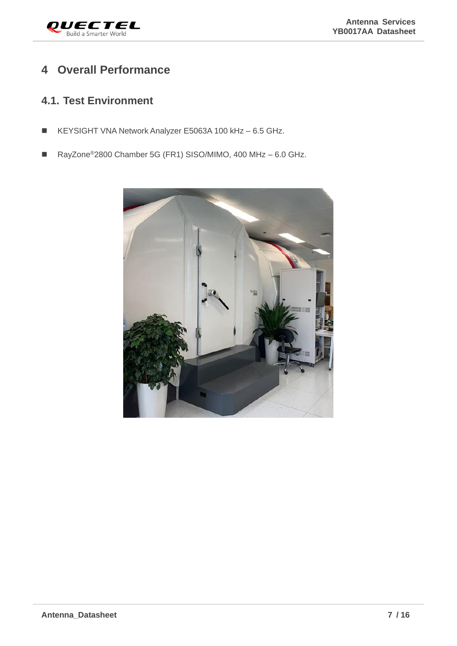

#### <span id="page-7-0"></span>**4 Overall Performance**

#### <span id="page-7-1"></span>**4.1. Test Environment**

- KEYSIGHT VNA Network Analyzer E5063A 100 kHz 6.5 GHz.
- RayZone<sup>®</sup>2800 Chamber 5G (FR1) SISO/MIMO, 400 MHz 6.0 GHz.

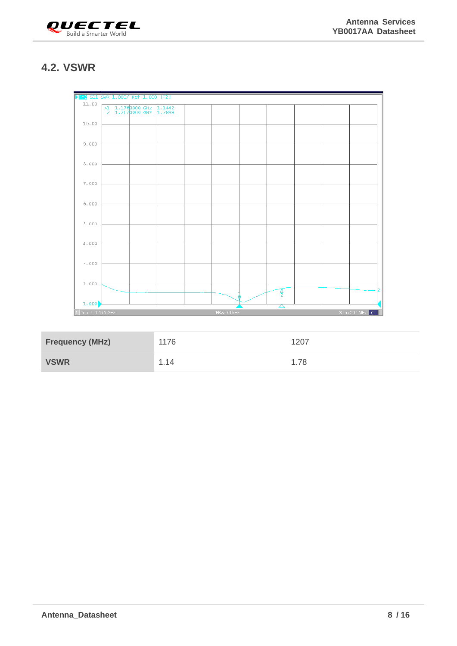

#### <span id="page-8-0"></span>**4.2. VSWR**



| <b>Frequency (MHz)</b> | 1176 | 1207 |
|------------------------|------|------|
| <b>VSWR</b>            | 1.14 | 1.78 |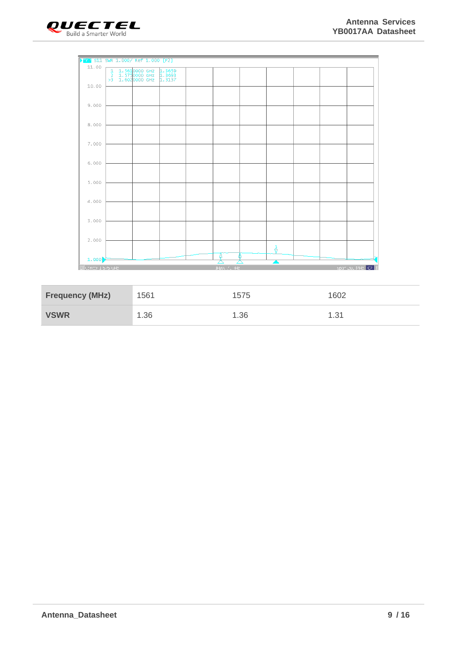



| <b>Frequency (MHz)</b> | 1561 | 1575 | 1602 |
|------------------------|------|------|------|
| <b>VSWR</b>            | 1.36 | 1.36 | 1.31 |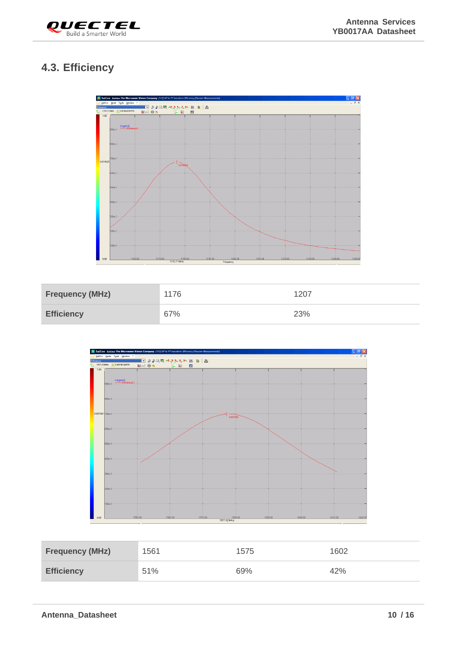

#### <span id="page-10-0"></span>**4.3. Efficiency**



| <b>Frequency (MHz)</b> | 1176 | 1207 |
|------------------------|------|------|
| <b>Efficiency</b>      | 67%  | 23%  |



| <b>Frequency (MHz)</b> | 1561 | 1575 | 1602 |
|------------------------|------|------|------|
| <b>Efficiency</b>      | 51%  | 69%  | 42%  |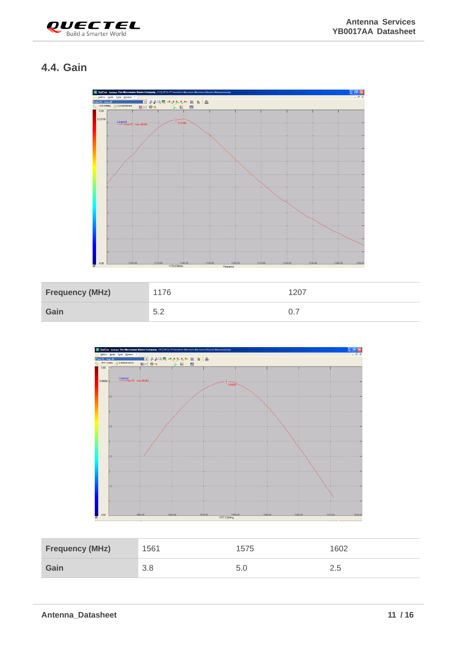

#### <span id="page-11-0"></span>**4.4. Gain**



| <b>Frequency (MHz)</b> | 1176 | 1207 |
|------------------------|------|------|
| Gain                   | 5.2  |      |



| <b>Frequency (MHz)</b> | 1561 | 1575 | 1602 |
|------------------------|------|------|------|
| Gain                   | 3.8  |      | ــ   |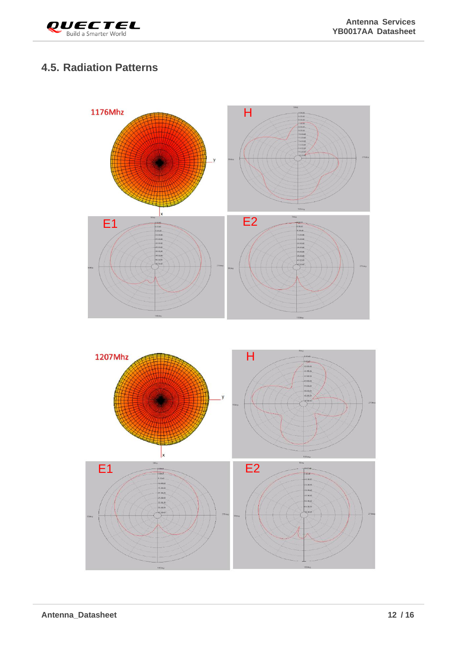

#### <span id="page-12-0"></span>**4.5. Radiation Patterns**



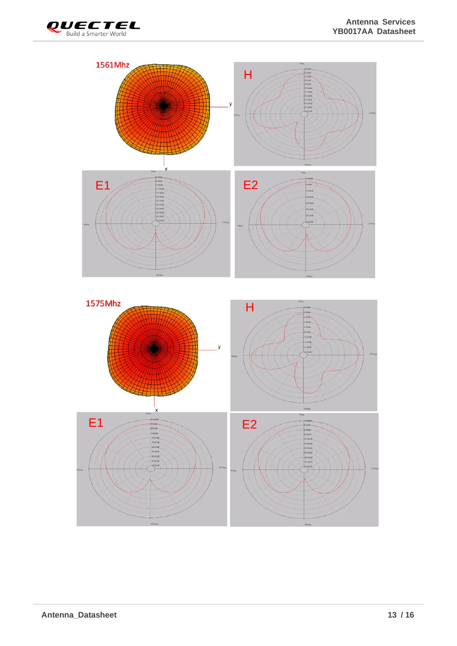

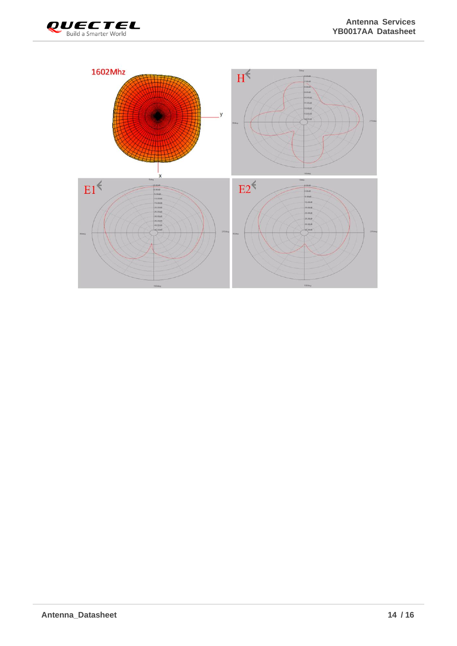

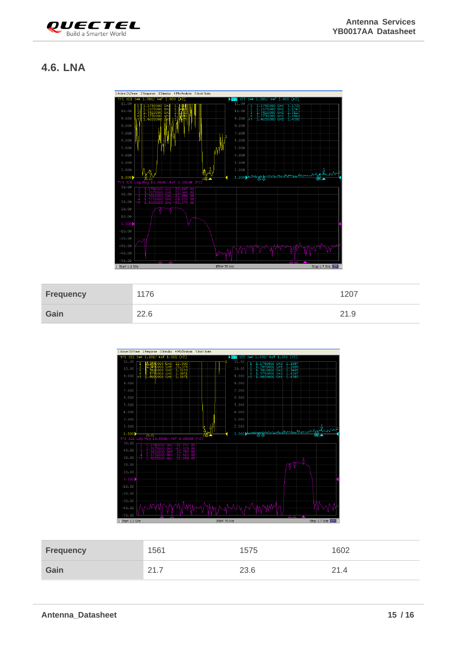

#### <span id="page-15-0"></span>**4.6. LNA**



| <b>Frequency</b> | 176  | $120^{-}$ |
|------------------|------|-----------|
| Gain             | 22.6 | <u>_</u>  |



| <b>Frequency</b> | 1561          | 575  | 1602                         |
|------------------|---------------|------|------------------------------|
| Gain             | ີ<br><u>.</u> | 23.6 | <sup>2</sup> 1.4<br><u>_</u> |